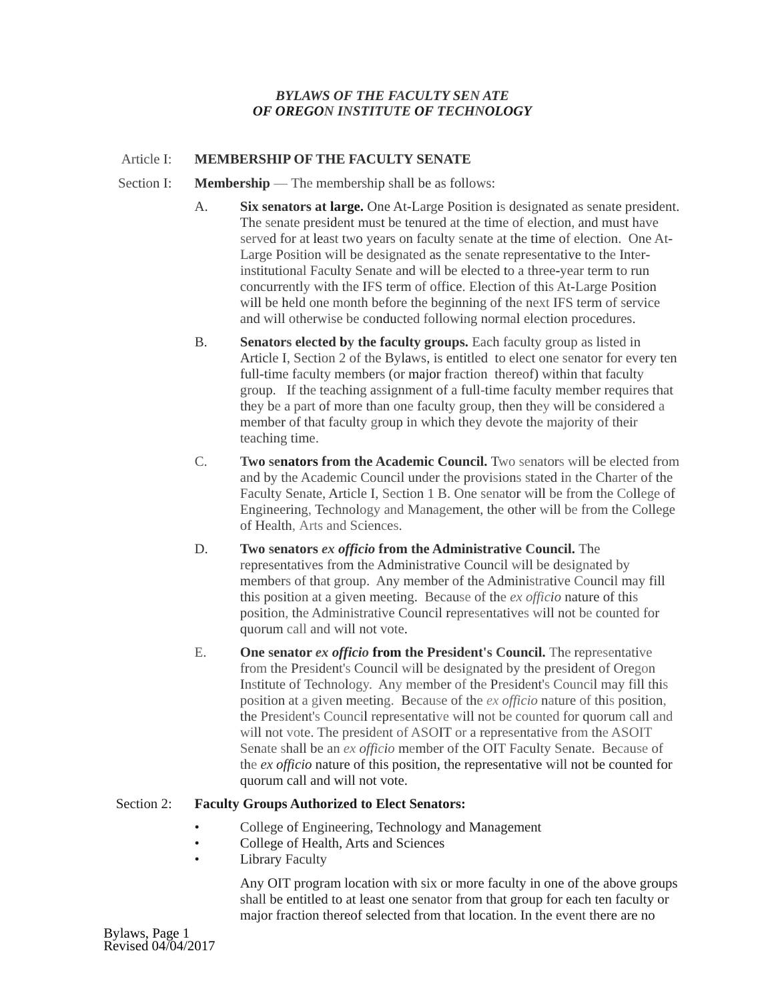# *BYLAWS OF THE FACULTY SEN ATE OF OREGON INSTITUTE OF TECHNOLOGY*

# Article I: **MEMBERSHIP OF THE FACULTY SENATE**

- Section I: **Membership** The membership shall be as follows:
	- A. **Six senators at large.** One At-Large Position is designated as senate president. The senate president must be tenured at the time of election, and must have served for at least two years on faculty senate at the time of election. One At-Large Position will be designated as the senate representative to the Interinstitutional Faculty Senate and will be elected to a three-year term to run concurrently with the IFS term of office. Election of this At-Large Position will be held one month before the beginning of the next IFS term of service and will otherwise be conducted following normal election procedures.
	- B. **Senators elected by the faculty groups.** Each faculty group as listed in Article I, Section 2 of the Bylaws, is entitled to elect one senator for every ten full-time faculty members (or major fraction thereof) within that faculty group. If the teaching assignment of a full-time faculty member requires that they be a part of more than one faculty group, then they will be considered a member of that faculty group in which they devote the majority of their teaching time.
	- C. **Two senators from the Academic Council.** Two senators will be elected from and by the Academic Council under the provisions stated in the Charter of the Faculty Senate, Article I, Section 1 B. One senator will be from the College of Engineering, Technology and Management, the other will be from the College of Health, Arts and Sciences.
	- D. **Two senators** *ex officio* **from the Administrative Council.** The representatives from the Administrative Council will be designated by members of that group. Any member of the Administrative Council may fill this position at a given meeting. Because of the *ex officio* nature of this position, the Administrative Council representatives will not be counted for quorum call and will not vote.
	- E. **One senator** *ex officio* **from the President's Council.** The representative from the President's Council will be designated by the president of Oregon Institute of Technology. Any member of the President's Council may fill this position at a given meeting. Because of the *ex officio* nature of this position, the President's Council representative will not be counted for quorum call and will not vote. The president of ASOIT or a representative from the ASOIT Senate shall be an *ex officio* member of the OIT Faculty Senate. Because of the *ex officio* nature of this position, the representative will not be counted for quorum call and will not vote.

## Section 2: **Faculty Groups Authorized to Elect Senators:**

- College of Engineering, Technology and Management
- College of Health, Arts and Sciences
- **Library Faculty**

Any OIT program location with six or more faculty in one of the above groups shall be entitled to at least one senator from that group for each ten faculty or major fraction thereof selected from that location. In the event there are no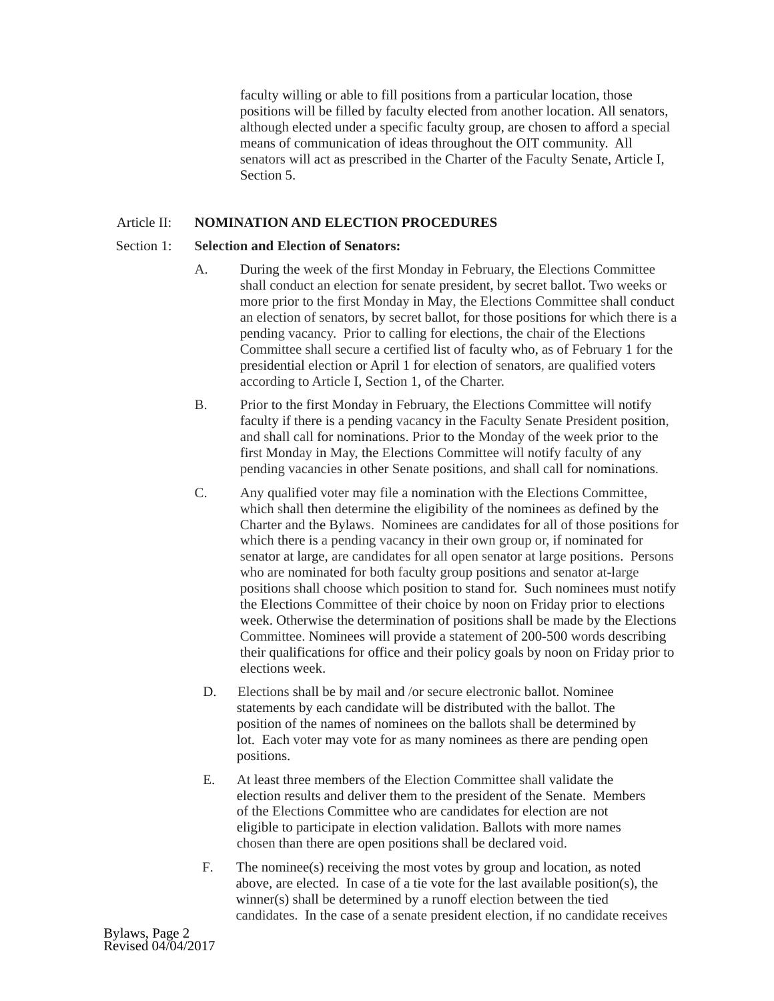faculty willing or able to fill positions from a particular location, those positions will be filled by faculty elected from another location. All senators, although elected under a specific faculty group, are chosen to afford a special means of communication of ideas throughout the OIT community. All senators will act as prescribed in the Charter of the Faculty Senate, Article I, Section 5.

# Article II: **NOMINATION AND ELECTION PROCEDURES**

### Section 1: **Selection and Election of Senators:**

- A. During the week of the first Monday in February, the Elections Committee shall conduct an election for senate president, by secret ballot. Two weeks or more prior to the first Monday in May, the Elections Committee shall conduct an election of senators, by secret ballot, for those positions for which there is a pending vacancy. Prior to calling for elections, the chair of the Elections Committee shall secure a certified list of faculty who, as of February 1 for the presidential election or April 1 for election of senators, are qualified voters according to Article I, Section 1, of the Charter.
- B. Prior to the first Monday in February, the Elections Committee will notify faculty if there is a pending vacancy in the Faculty Senate President position, and shall call for nominations. Prior to the Monday of the week prior to the first Monday in May, the Elections Committee will notify faculty of any pending vacancies in other Senate positions, and shall call for nominations.
- C. Any qualified voter may file a nomination with the Elections Committee, which shall then determine the eligibility of the nominees as defined by the Charter and the Bylaws. Nominees are candidates for all of those positions for which there is a pending vacancy in their own group or, if nominated for senator at large, are candidates for all open senator at large positions. Persons who are nominated for both faculty group positions and senator at-large positions shall choose which position to stand for. Such nominees must notify the Elections Committee of their choice by noon on Friday prior to elections week. Otherwise the determination of positions shall be made by the Elections Committee. Nominees will provide a statement of 200-500 words describing their qualifications for office and their policy goals by noon on Friday prior to elections week.
- D. Elections shall be by mail and /or secure electronic ballot. Nominee statements by each candidate will be distributed with the ballot. The position of the names of nominees on the ballots shall be determined by lot. Each voter may vote for as many nominees as there are pending open positions.
- E. At least three members of the Election Committee shall validate the election results and deliver them to the president of the Senate. Members of the Elections Committee who are candidates for election are not eligible to participate in election validation. Ballots with more names chosen than there are open positions shall be declared void.
- F. The nominee(s) receiving the most votes by group and location, as noted above, are elected. In case of a tie vote for the last available position(s), the winner(s) shall be determined by a runoff election between the tied candidates. In the case of a senate president election, if no candidate receives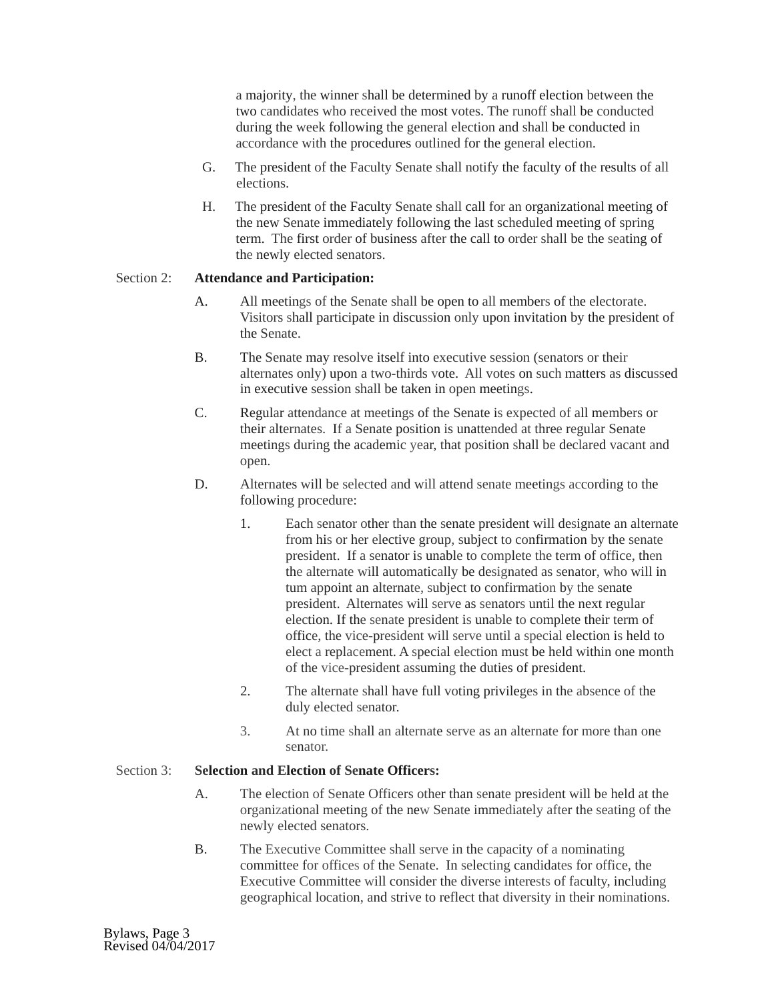a majority, the winner shall be determined by a runoff election between the two candidates who received the most votes. The runoff shall be conducted during the week following the general election and shall be conducted in accordance with the procedures outlined for the general election.

- G. The president of the Faculty Senate shall notify the faculty of the results of all elections.
- H. The president of the Faculty Senate shall call for an organizational meeting of the new Senate immediately following the last scheduled meeting of spring term. The first order of business after the call to order shall be the seating of the newly elected senators.

## Section 2: **Attendance and Participation:**

- A. All meetings of the Senate shall be open to all members of the electorate. Visitors shall participate in discussion only upon invitation by the president of the Senate.
- B. The Senate may resolve itself into executive session (senators or their alternates only) upon a two-thirds vote. All votes on such matters as discussed in executive session shall be taken in open meetings.
- C. Regular attendance at meetings of the Senate is expected of all members or their alternates. If a Senate position is unattended at three regular Senate meetings during the academic year, that position shall be declared vacant and open.
- D. Alternates will be selected and will attend senate meetings according to the following procedure:
	- 1. Each senator other than the senate president will designate an alternate from his or her elective group, subject to confirmation by the senate president. If a senator is unable to complete the term of office, then the alternate will automatically be designated as senator, who will in tum appoint an alternate, subject to confirmation by the senate president. Alternates will serve as senators until the next regular election. If the senate president is unable to complete their term of office, the vice-president will serve until a special election is held to elect a replacement. A special election must be held within one month of the vice-president assuming the duties of president.
	- 2. The alternate shall have full voting privileges in the absence of the duly elected senator.
	- 3. At no time shall an alternate serve as an alternate for more than one senator.

# Section 3: **Selection and Election of Senate Officers:**

- A. The election of Senate Officers other than senate president will be held at the organizational meeting of the new Senate immediately after the seating of the newly elected senators.
- B. The Executive Committee shall serve in the capacity of a nominating committee for offices of the Senate. In selecting candidates for office, the Executive Committee will consider the diverse interests of faculty, including geographical location, and strive to reflect that diversity in their nominations.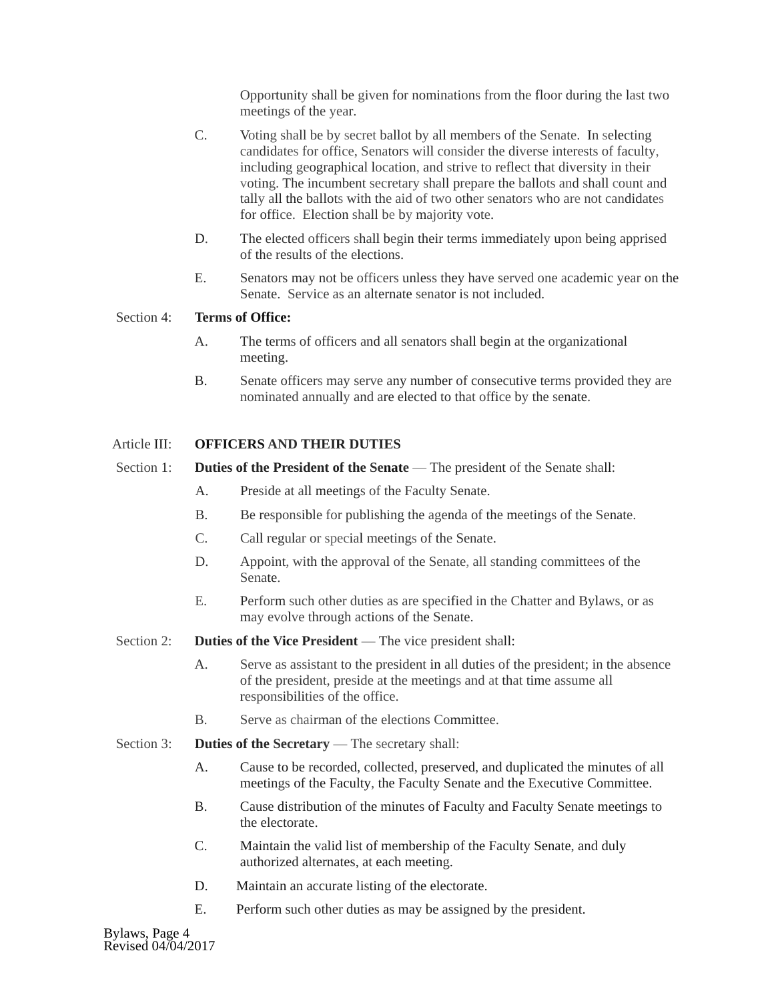Opportunity shall be given for nominations from the floor during the last two meetings of the year.

- C. Voting shall be by secret ballot by all members of the Senate. In selecting candidates for office, Senators will consider the diverse interests of faculty, including geographical location, and strive to reflect that diversity in their voting. The incumbent secretary shall prepare the ballots and shall count and tally all the ballots with the aid of two other senators who are not candidates for office. Election shall be by majority vote.
- D. The elected officers shall begin their terms immediately upon being apprised of the results of the elections.
- E. Senators may not be officers unless they have served one academic year on the Senate. Service as an alternate senator is not included.

### Section 4: **Terms of Office:**

- A. The terms of officers and all senators shall begin at the organizational meeting.
- B. Senate officers may serve any number of consecutive terms provided they are nominated annually and are elected to that office by the senate.

### Article III: **OFFICERS AND THEIR DUTIES**

- Section 1: **Duties of the President of the Senate** The president of the Senate shall:
	- A. Preside at all meetings of the Faculty Senate.
	- B. Be responsible for publishing the agenda of the meetings of the Senate.
	- C. Call regular or special meetings of the Senate.
	- D. Appoint, with the approval of the Senate, all standing committees of the Senate.
	- E. Perform such other duties as are specified in the Chatter and Bylaws, or as may evolve through actions of the Senate.
- Section 2: **Duties of the Vice President** The vice president shall:
	- A. Serve as assistant to the president in all duties of the president; in the absence of the president, preside at the meetings and at that time assume all responsibilities of the office.
	- B. Serve as chairman of the elections Committee.
- Section 3: **Duties of the Secretary** The secretary shall:
	- A. Cause to be recorded, collected, preserved, and duplicated the minutes of all meetings of the Faculty, the Faculty Senate and the Executive Committee.
	- B. Cause distribution of the minutes of Faculty and Faculty Senate meetings to the electorate.
	- C. Maintain the valid list of membership of the Faculty Senate, and duly authorized alternates, at each meeting.
	- D. Maintain an accurate listing of the electorate.
	- E. Perform such other duties as may be assigned by the president.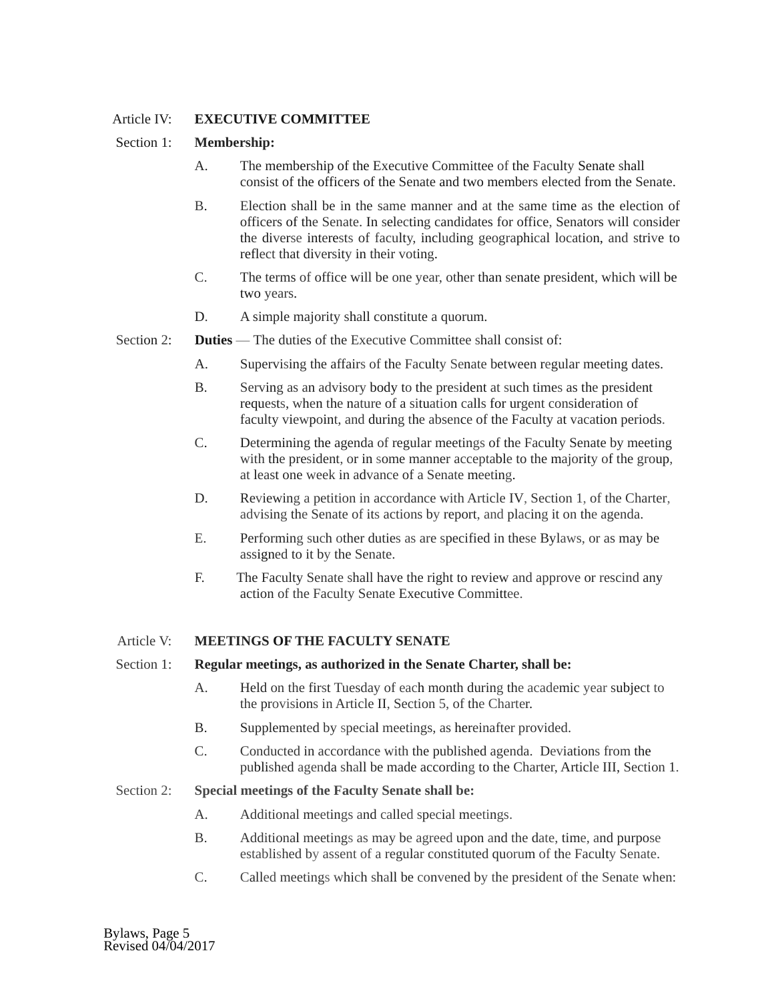# Article IV: **EXECUTIVE COMMITTEE**

# Section 1: **Membership:**

- A. The membership of the Executive Committee of the Faculty Senate shall consist of the officers of the Senate and two members elected from the Senate.
- B. Election shall be in the same manner and at the same time as the election of officers of the Senate. In selecting candidates for office, Senators will consider the diverse interests of faculty, including geographical location, and strive to reflect that diversity in their voting.
- C. The terms of office will be one year, other than senate president, which will be two years.
- D. A simple majority shall constitute a quorum.
- Section 2: **Duties** The duties of the Executive Committee shall consist of:
	- A. Supervising the affairs of the Faculty Senate between regular meeting dates.
	- B. Serving as an advisory body to the president at such times as the president requests, when the nature of a situation calls for urgent consideration of faculty viewpoint, and during the absence of the Faculty at vacation periods.
	- C. Determining the agenda of regular meetings of the Faculty Senate by meeting with the president, or in some manner acceptable to the majority of the group, at least one week in advance of a Senate meeting.
	- D. Reviewing a petition in accordance with Article IV, Section 1, of the Charter, advising the Senate of its actions by report, and placing it on the agenda.
	- E. Performing such other duties as are specified in these Bylaws, or as may be assigned to it by the Senate.
	- F. The Faculty Senate shall have the right to review and approve or rescind any action of the Faculty Senate Executive Committee.

#### Article V: **MEETINGS OF THE FACULTY SENATE**

#### Section 1: **Regular meetings, as authorized in the Senate Charter, shall be:**

- A. Held on the first Tuesday of each month during the academic year subject to the provisions in Article II, Section 5, of the Charter.
- B. Supplemented by special meetings, as hereinafter provided.
- C. Conducted in accordance with the published agenda. Deviations from the published agenda shall be made according to the Charter, Article III, Section 1.

### Section 2: **Special meetings of the Faculty Senate shall be:**

- A. Additional meetings and called special meetings.
- B. Additional meetings as may be agreed upon and the date, time, and purpose established by assent of a regular constituted quorum of the Faculty Senate.
- C. Called meetings which shall be convened by the president of the Senate when: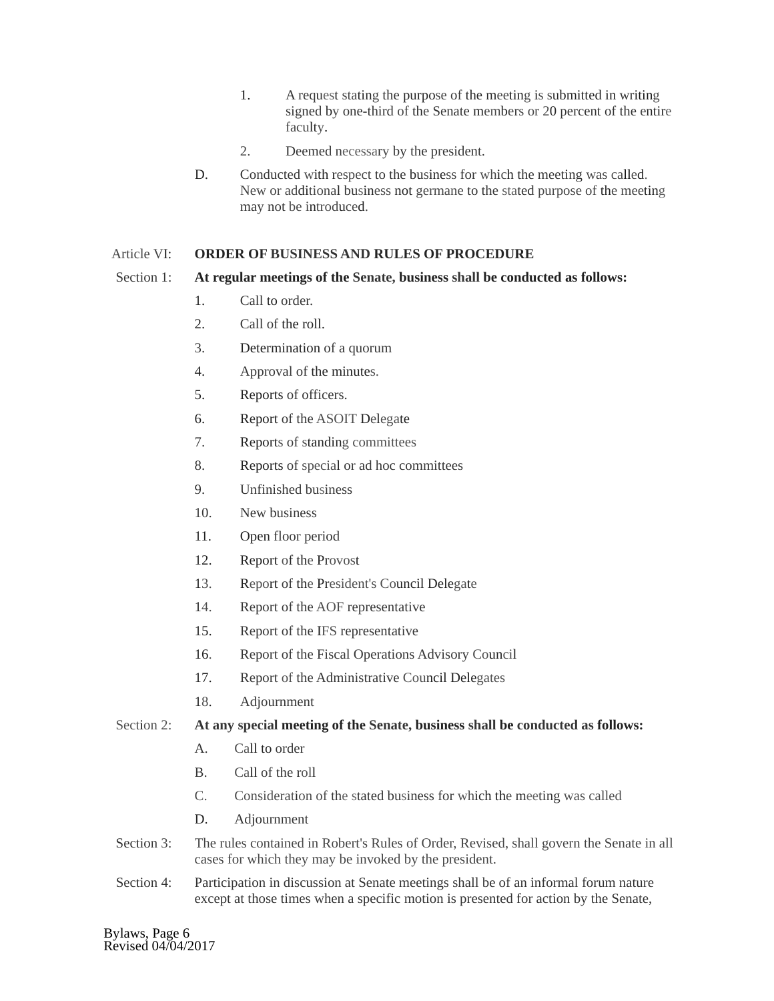- 1. A request stating the purpose of the meeting is submitted in writing signed by one-third of the Senate members or 20 percent of the entire faculty.
- 2. Deemed necessary by the president.
- D. Conducted with respect to the business for which the meeting was called. New or additional business not germane to the stated purpose of the meeting may not be introduced.

## Article VI: **ORDER OF BUSINESS AND RULES OF PROCEDURE**

# Section 1: **At regular meetings of the Senate, business shall be conducted as follows:**

- 1. Call to order.
- 2. Call of the roll.
- 3. Determination of a quorum
- 4. Approval of the minutes.
- 5. Reports of officers.
- 6. Report of the ASOIT Delegate
- 7. Reports of standing committees
- 8. Reports of special or ad hoc committees
- 9. Unfinished business
- 10. New business
- 11. Open floor period
- 12. Report of the Provost
- 13. Report of the President's Council Delegate
- 14. Report of the AOF representative
- 15. Report of the IFS representative
- 16. Report of the Fiscal Operations Advisory Council
- 17. Report of the Administrative Council Delegates
- 18. Adjournment

## Section 2: **At any special meeting of the Senate, business shall be conducted as follows:**

- A. Call to order
- B. Call of the roll
- C. Consideration of the stated business for which the meeting was called
- D. Adjournment
- Section 3: The rules contained in Robert's Rules of Order, Revised, shall govern the Senate in all cases for which they may be invoked by the president.
- Section 4: Participation in discussion at Senate meetings shall be of an informal forum nature except at those times when a specific motion is presented for action by the Senate,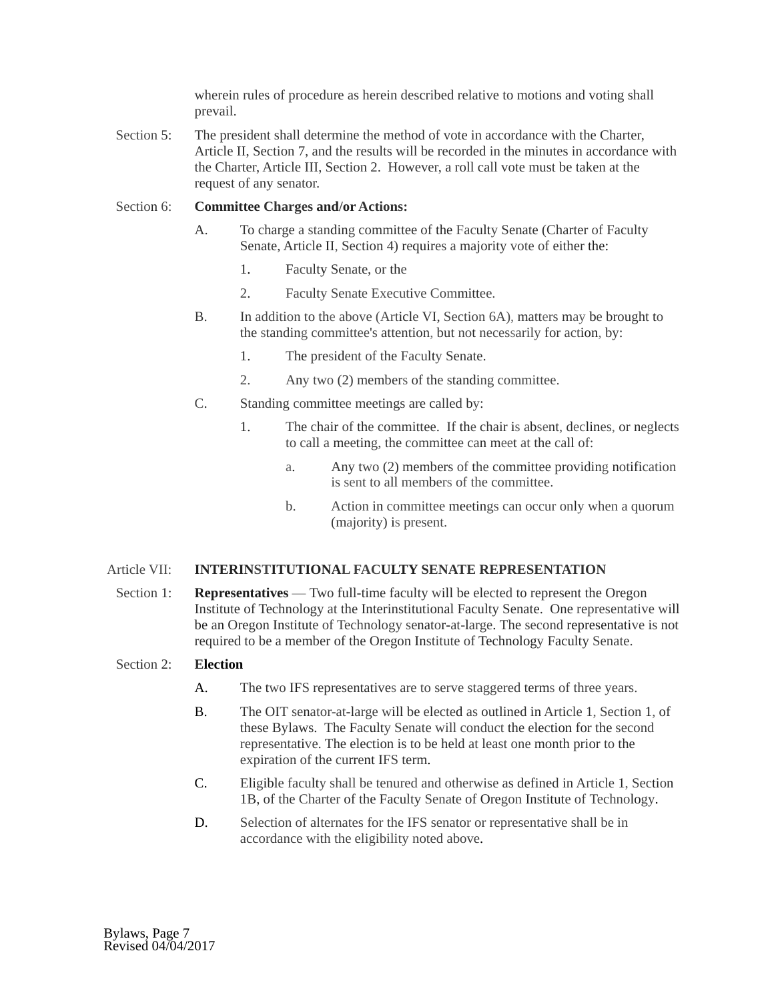wherein rules of procedure as herein described relative to motions and voting shall prevail.

Section 5: The president shall determine the method of vote in accordance with the Charter, Article II, Section 7, and the results will be recorded in the minutes in accordance with the Charter, Article III, Section 2. However, a roll call vote must be taken at the request of any senator.

#### Section 6: **Committee Charges and/or Actions:**

- A. To charge a standing committee of the Faculty Senate (Charter of Faculty Senate, Article II, Section 4) requires a majority vote of either the:
	- 1. Faculty Senate, or the
	- 2. Faculty Senate Executive Committee.
- B. In addition to the above (Article VI, Section 6A), matters may be brought to the standing committee's attention, but not necessarily for action, by:
	- 1. The president of the Faculty Senate.
	- 2. Any two (2) members of the standing committee.
- C. Standing committee meetings are called by:
	- 1. The chair of the committee. If the chair is absent, declines, or neglects to call a meeting, the committee can meet at the call of:
		- a. Any two (2) members of the committee providing notification is sent to all members of the committee.
		- b. Action in committee meetings can occur only when a quorum (majority) is present.

#### Article VII: **INTERINSTITUTIONAL FACULTY SENATE REPRESENTATION**

 Section 1: **Representatives** — Two full-time faculty will be elected to represent the Oregon Institute of Technology at the Interinstitutional Faculty Senate. One representative will be an Oregon Institute of Technology senator-at-large. The second representative is not required to be a member of the Oregon Institute of Technology Faculty Senate.

## Section 2: **Election**

- A. The two IFS representatives are to serve staggered terms of three years.
- B. The OIT senator-at-large will be elected as outlined in Article 1, Section 1, of these Bylaws. The Faculty Senate will conduct the election for the second representative. The election is to be held at least one month prior to the expiration of the current IFS term.
- C. Eligible faculty shall be tenured and otherwise as defined in Article 1, Section 1B, of the Charter of the Faculty Senate of Oregon Institute of Technology.
- D. Selection of alternates for the IFS senator or representative shall be in accordance with the eligibility noted above.